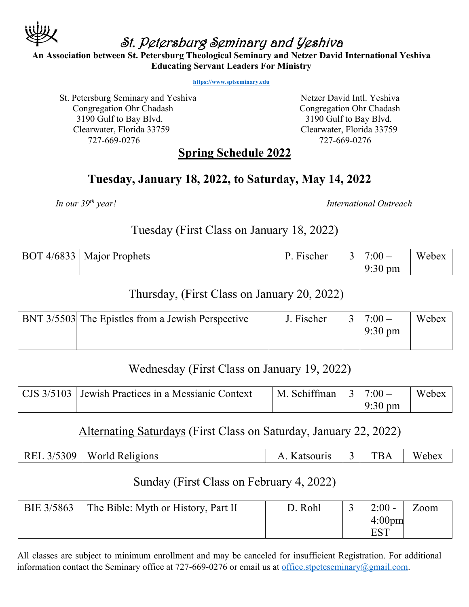

# St. Petersburg Seminary and Yeshiva

**An Association between St. Petersburg Theological Seminary and Netzer David International Yeshiva Educating Servant Leaders For Ministry**

**https://www.sptseminary.edu**

St. Petersburg Seminary and Yeshiva Netzer David Intl. Yeshiva Congregation Ohr Chadash Congregation Ohr Chadash 3190 Gulf to Bay Blvd. 3190 Gulf to Bay Blvd. Clearwater, Florida 33759 Clearwater, Florida 33759 727-669-0276 727-669-0276

#### **Spring Schedule 2022**

#### **Tuesday, January 18, 2022, to Saturday, May 14, 2022**

*In our 39th year! International Outreach* 

Tuesday (First Class on January 18, 2022)

| BOT 4/6833   Major Prophets | Fischer | $7:00-$           | Webex |
|-----------------------------|---------|-------------------|-------|
|                             |         | $9:30 \text{ pm}$ |       |

# Thursday, (First Class on January 20, 2022)

| <b>BNT 3/5503</b> The Epistles from a Jewish Perspective | J. Fischer | $7:00-$           | Webex |
|----------------------------------------------------------|------------|-------------------|-------|
|                                                          |            | $9:30 \text{ pm}$ |       |
|                                                          |            |                   |       |

## Wednesday (First Class on January 19, 2022)

| CJS 3/5103 Jewish Practices in a Messianic Context | $\vert$ M. Schiffman $\vert$ 3 $\vert$ 7:00 – |                   | Webex |
|----------------------------------------------------|-----------------------------------------------|-------------------|-------|
|                                                    |                                               | $9:30 \text{ pm}$ |       |

## Alternating Saturdays (First Class on Saturday, January 22, 2022)

| REL 3/5309<br>I World Religions | Katsouris | <b>TBA</b> | Webex |
|---------------------------------|-----------|------------|-------|
|---------------------------------|-----------|------------|-------|

## Sunday (First Class on February 4, 2022)

| BIE 3/5863 | The Bible: Myth or History, Part II | D. Rohl | $2:00 -$           | Zoom |
|------------|-------------------------------------|---------|--------------------|------|
|            |                                     |         | 4:00 <sub>pm</sub> |      |
|            |                                     |         |                    |      |

All classes are subject to minimum enrollment and may be canceled for insufficient Registration. For additional information contact the Seminary office at 727-669-0276 or email us at office.stpeteseminary@gmail.com.